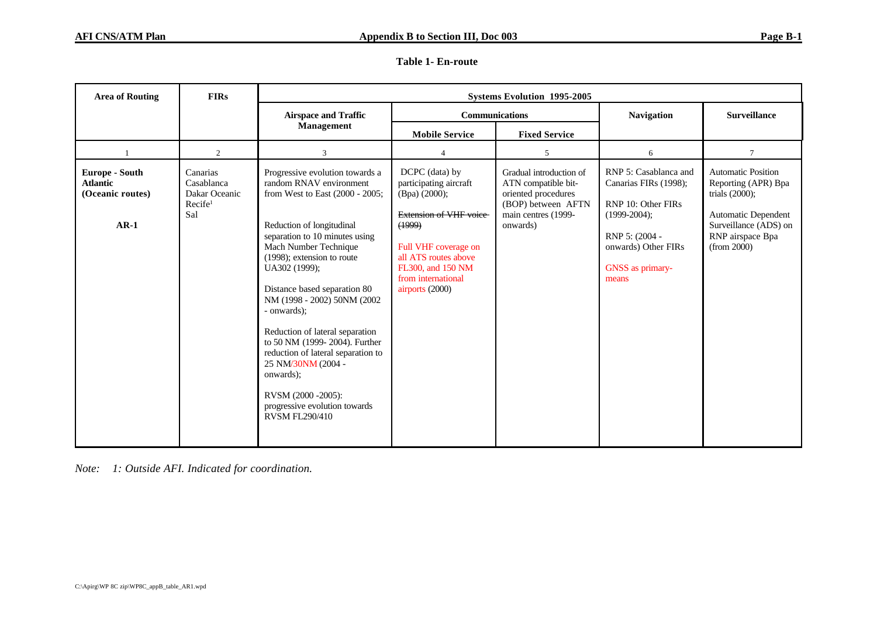|  | Table 1- En-route |
|--|-------------------|
|--|-------------------|

| <b>Area of Routing</b>                                          | <b>FIRs</b>                                                           | <b>Systems Evolution 1995-2005</b>                                                                                                                                                                                                                                                                                                                                                                                                                                                                                                               |                                                                                                                                                                                                                    |                                                                                                                                |                                                                                                                                                               |                                                                                                                                                          |  |
|-----------------------------------------------------------------|-----------------------------------------------------------------------|--------------------------------------------------------------------------------------------------------------------------------------------------------------------------------------------------------------------------------------------------------------------------------------------------------------------------------------------------------------------------------------------------------------------------------------------------------------------------------------------------------------------------------------------------|--------------------------------------------------------------------------------------------------------------------------------------------------------------------------------------------------------------------|--------------------------------------------------------------------------------------------------------------------------------|---------------------------------------------------------------------------------------------------------------------------------------------------------------|----------------------------------------------------------------------------------------------------------------------------------------------------------|--|
|                                                                 |                                                                       | <b>Airspace and Traffic</b>                                                                                                                                                                                                                                                                                                                                                                                                                                                                                                                      | <b>Communications</b>                                                                                                                                                                                              |                                                                                                                                | <b>Navigation</b>                                                                                                                                             | <b>Surveillance</b>                                                                                                                                      |  |
|                                                                 |                                                                       | Management                                                                                                                                                                                                                                                                                                                                                                                                                                                                                                                                       | <b>Mobile Service</b>                                                                                                                                                                                              | <b>Fixed Service</b>                                                                                                           |                                                                                                                                                               |                                                                                                                                                          |  |
|                                                                 | 2                                                                     | 3                                                                                                                                                                                                                                                                                                                                                                                                                                                                                                                                                | 4                                                                                                                                                                                                                  | 5                                                                                                                              | 6                                                                                                                                                             | $\overline{7}$                                                                                                                                           |  |
| Europe - South<br><b>Atlantic</b><br>(Oceanic routes)<br>$AR-1$ | Canarias<br>Casablanca<br>Dakar Oceanic<br>Recife <sup>1</sup><br>Sal | Progressive evolution towards a<br>random RNAV environment<br>from West to East (2000 - 2005;<br>Reduction of longitudinal<br>separation to 10 minutes using<br>Mach Number Technique<br>(1998); extension to route<br>UA302 (1999);<br>Distance based separation 80<br>NM (1998 - 2002) 50NM (2002<br>- onwards);<br>Reduction of lateral separation<br>to 50 NM (1999-2004). Further<br>reduction of lateral separation to<br>25 NM/30NM (2004 -<br>onwards);<br>RVSM (2000 - 2005):<br>progressive evolution towards<br><b>RVSM FL290/410</b> | DCPC (data) by<br>participating aircraft<br>(Bpa) (2000);<br><b>Extension of VHF voice</b><br>(1999)<br>Full VHF coverage on<br>all ATS routes above<br>FL300, and 150 NM<br>from international<br>airports (2000) | Gradual introduction of<br>ATN compatible bit-<br>oriented procedures<br>(BOP) between AFTN<br>main centres (1999-<br>onwards) | RNP 5: Casablanca and<br>Canarias FIRs (1998);<br>RNP 10: Other FIRs<br>$(1999-2004)$ ;<br>RNP 5: (2004 -<br>onwards) Other FIRs<br>GNSS as primary-<br>means | <b>Automatic Position</b><br>Reporting (APR) Bpa<br>trials $(2000)$ ;<br>Automatic Dependent<br>Surveillance (ADS) on<br>RNP airspace Bpa<br>(from 2000) |  |

*Note: 1: Outside AFI. Indicated for coordination.*